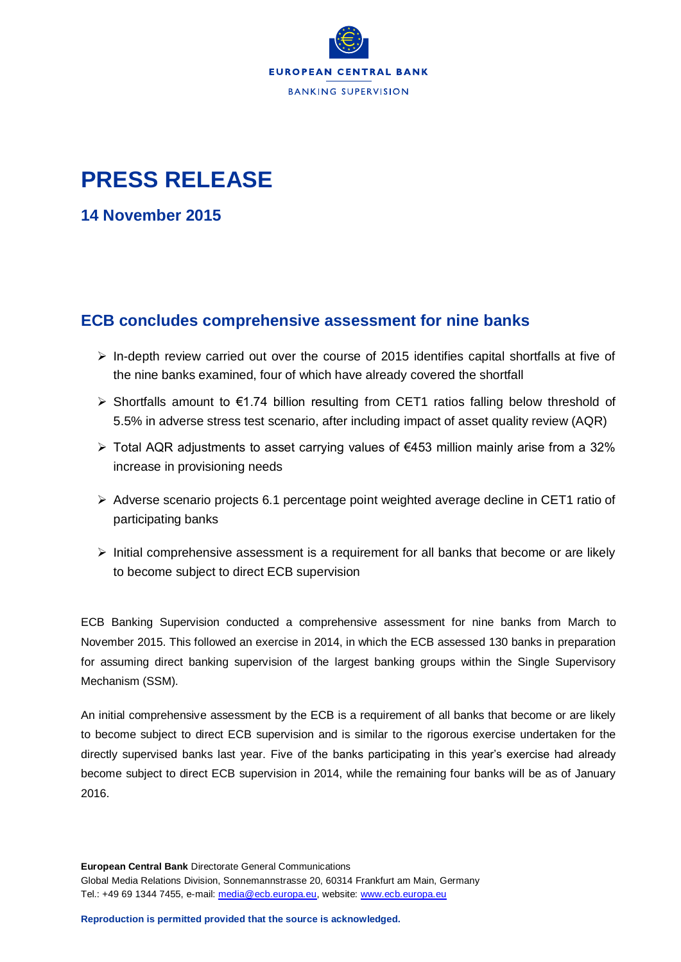

## **PRESS RELEASE**

**14 November 2015**

## **ECB concludes comprehensive assessment for nine banks**

- $\triangleright$  In-depth review carried out over the course of 2015 identifies capital shortfalls at five of the nine banks examined, four of which have already covered the shortfall
- Shortfalls amount to €1.74 billion resulting from CET1 ratios falling below threshold of 5.5% in adverse stress test scenario, after including impact of asset quality review (AQR)
- Total AQR adjustments to asset carrying values of €453 million mainly arise from a 32% increase in provisioning needs
- $\triangleright$  Adverse scenario projects 6.1 percentage point weighted average decline in CET1 ratio of participating banks
- $\triangleright$  Initial comprehensive assessment is a requirement for all banks that become or are likely to become subject to direct ECB supervision

ECB Banking Supervision conducted a comprehensive assessment for nine banks from March to November 2015. This followed an exercise in 2014, in which the ECB assessed 130 banks in preparation for assuming direct banking supervision of the largest banking groups within the Single Supervisory Mechanism (SSM).

An initial comprehensive assessment by the ECB is a requirement of all banks that become or are likely to become subject to direct ECB supervision and is similar to the rigorous exercise undertaken for the directly supervised banks last year. Five of the banks participating in this year's exercise had already become subject to direct ECB supervision in 2014, while the remaining four banks will be as of January 2016.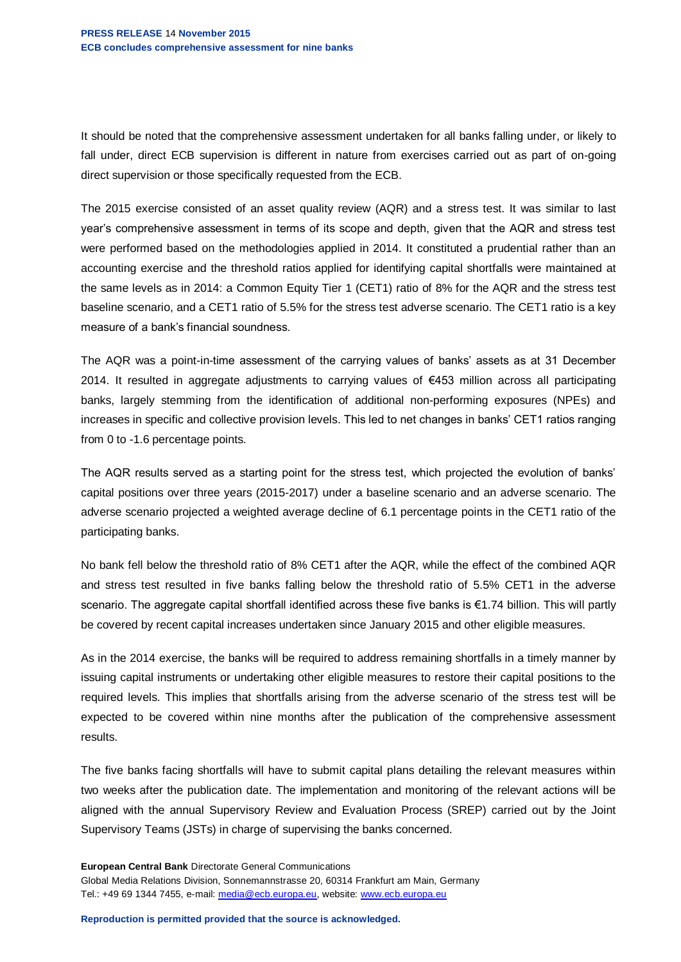It should be noted that the comprehensive assessment undertaken for all banks falling under, or likely to fall under, direct ECB supervision is different in nature from exercises carried out as part of on-going direct supervision or those specifically requested from the ECB.

The 2015 exercise consisted of an asset quality review (AQR) and a stress test. It was similar to last year's comprehensive assessment in terms of its scope and depth, given that the AQR and stress test were performed based on the methodologies applied in 2014. It constituted a prudential rather than an accounting exercise and the threshold ratios applied for identifying capital shortfalls were maintained at the same levels as in 2014: a Common Equity Tier 1 (CET1) ratio of 8% for the AQR and the stress test baseline scenario, and a CET1 ratio of 5.5% for the stress test adverse scenario. The CET1 ratio is a key measure of a bank's financial soundness.

The AQR was a point-in-time assessment of the carrying values of banks' assets as at 31 December 2014. It resulted in aggregate adjustments to carrying values of €453 million across all participating banks, largely stemming from the identification of additional non-performing exposures (NPEs) and increases in specific and collective provision levels. This led to net changes in banks' CET1 ratios ranging from 0 to -1.6 percentage points.

The AQR results served as a starting point for the stress test, which projected the evolution of banks' capital positions over three years (2015-2017) under a baseline scenario and an adverse scenario. The adverse scenario projected a weighted average decline of 6.1 percentage points in the CET1 ratio of the participating banks.

No bank fell below the threshold ratio of 8% CET1 after the AQR, while the effect of the combined AQR and stress test resulted in five banks falling below the threshold ratio of 5.5% CET1 in the adverse scenario. The aggregate capital shortfall identified across these five banks is €1.74 billion. This will partly be covered by recent capital increases undertaken since January 2015 and other eligible measures.

As in the 2014 exercise, the banks will be required to address remaining shortfalls in a timely manner by issuing capital instruments or undertaking other eligible measures to restore their capital positions to the required levels. This implies that shortfalls arising from the adverse scenario of the stress test will be expected to be covered within nine months after the publication of the comprehensive assessment results.

The five banks facing shortfalls will have to submit capital plans detailing the relevant measures within two weeks after the publication date. The implementation and monitoring of the relevant actions will be aligned with the annual Supervisory Review and Evaluation Process (SREP) carried out by the Joint Supervisory Teams (JSTs) in charge of supervising the banks concerned.

**European Central Bank** Directorate General Communications Global Media Relations Division, Sonnemannstrasse 20, 60314 Frankfurt am Main, Germany Tel.: +49 69 1344 7455, e-mail: [media@ecb.europa.eu,](mailto:media@ecb.europa.eu) website: [www.ecb.europa.eu](http://www.ecb.europa.eu/)

**Reproduction is permitted provided that the source is acknowledged.**